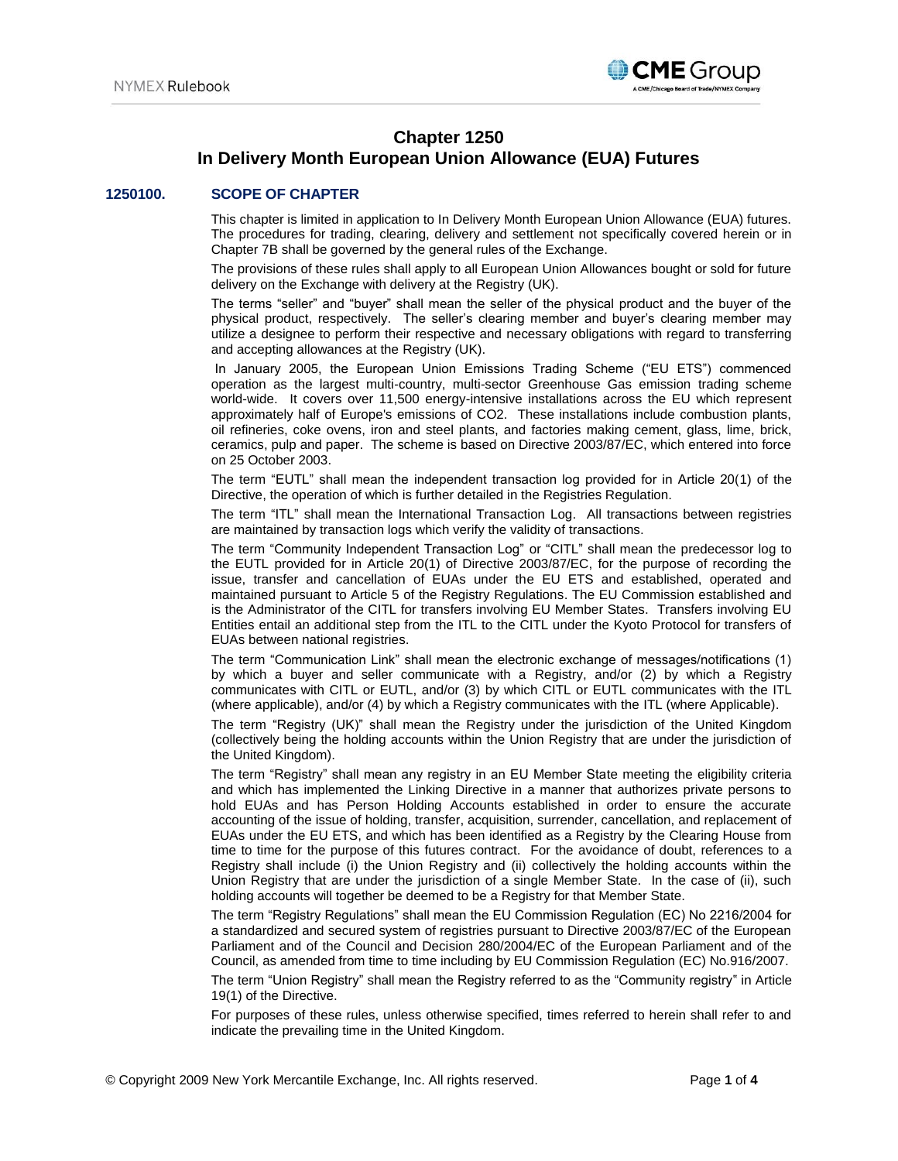

# **Chapter 1250 In Delivery Month European Union Allowance (EUA) Futures**

# **1250100. SCOPE OF CHAPTER**

This chapter is limited in application to In Delivery Month European Union Allowance (EUA) futures. The procedures for trading, clearing, delivery and settlement not specifically covered herein or in Chapter 7B shall be governed by the general rules of the Exchange.

The provisions of these rules shall apply to all European Union Allowances bought or sold for future delivery on the Exchange with delivery at the Registry (UK).

The terms "seller" and "buyer" shall mean the seller of the physical product and the buyer of the physical product, respectively. The seller's clearing member and buyer's clearing member may utilize a designee to perform their respective and necessary obligations with regard to transferring and accepting allowances at the Registry (UK).

In January 2005, the European Union Emissions Trading Scheme ("EU ETS") commenced operation as the largest multi-country, multi-sector Greenhouse Gas emission trading scheme world-wide. It covers over 11,500 energy-intensive installations across the EU which represent approximately half of Europe's emissions of CO2. These installations include combustion plants, oil refineries, coke ovens, iron and steel plants, and factories making cement, glass, lime, brick, ceramics, pulp and paper. The scheme is based on Directive 2003/87/EC, which entered into force on 25 October 2003.

The term "EUTL" shall mean the independent transaction log provided for in Article 20(1) of the Directive, the operation of which is further detailed in the Registries Regulation.

The term "ITL" shall mean the International Transaction Log. All transactions between registries are maintained by transaction logs which verify the validity of transactions.

The term "Community Independent Transaction Log" or "CITL" shall mean the predecessor log to the EUTL provided for in Article 20(1) of Directive 2003/87/EC, for the purpose of recording the issue, transfer and cancellation of EUAs under the EU ETS and established, operated and maintained pursuant to Article 5 of the Registry Regulations. The EU Commission established and is the Administrator of the CITL for transfers involving EU Member States. Transfers involving EU Entities entail an additional step from the ITL to the CITL under the Kyoto Protocol for transfers of EUAs between national registries.

The term "Communication Link" shall mean the electronic exchange of messages/notifications (1) by which a buyer and seller communicate with a Registry, and/or (2) by which a Registry communicates with CITL or EUTL, and/or (3) by which CITL or EUTL communicates with the ITL (where applicable), and/or (4) by which a Registry communicates with the ITL (where Applicable).

The term "Registry (UK)" shall mean the Registry under the jurisdiction of the United Kingdom (collectively being the holding accounts within the Union Registry that are under the jurisdiction of the United Kingdom).

The term "Registry" shall mean any registry in an EU Member State meeting the eligibility criteria and which has implemented the Linking Directive in a manner that authorizes private persons to hold EUAs and has Person Holding Accounts established in order to ensure the accurate accounting of the issue of holding, transfer, acquisition, surrender, cancellation, and replacement of EUAs under the EU ETS, and which has been identified as a Registry by the Clearing House from time to time for the purpose of this futures contract. For the avoidance of doubt, references to a Registry shall include (i) the Union Registry and (ii) collectively the holding accounts within the Union Registry that are under the jurisdiction of a single Member State. In the case of (ii), such holding accounts will together be deemed to be a Registry for that Member State.

The term "Registry Regulations" shall mean the EU Commission Regulation (EC) No 2216/2004 for a standardized and secured system of registries pursuant to Directive 2003/87/EC of the European Parliament and of the Council and Decision 280/2004/EC of the European Parliament and of the Council, as amended from time to time including by EU Commission Regulation (EC) No.916/2007.

The term "Union Registry" shall mean the Registry referred to as the "Community registry" in Article 19(1) of the Directive.

For purposes of these rules, unless otherwise specified, times referred to herein shall refer to and indicate the prevailing time in the United Kingdom.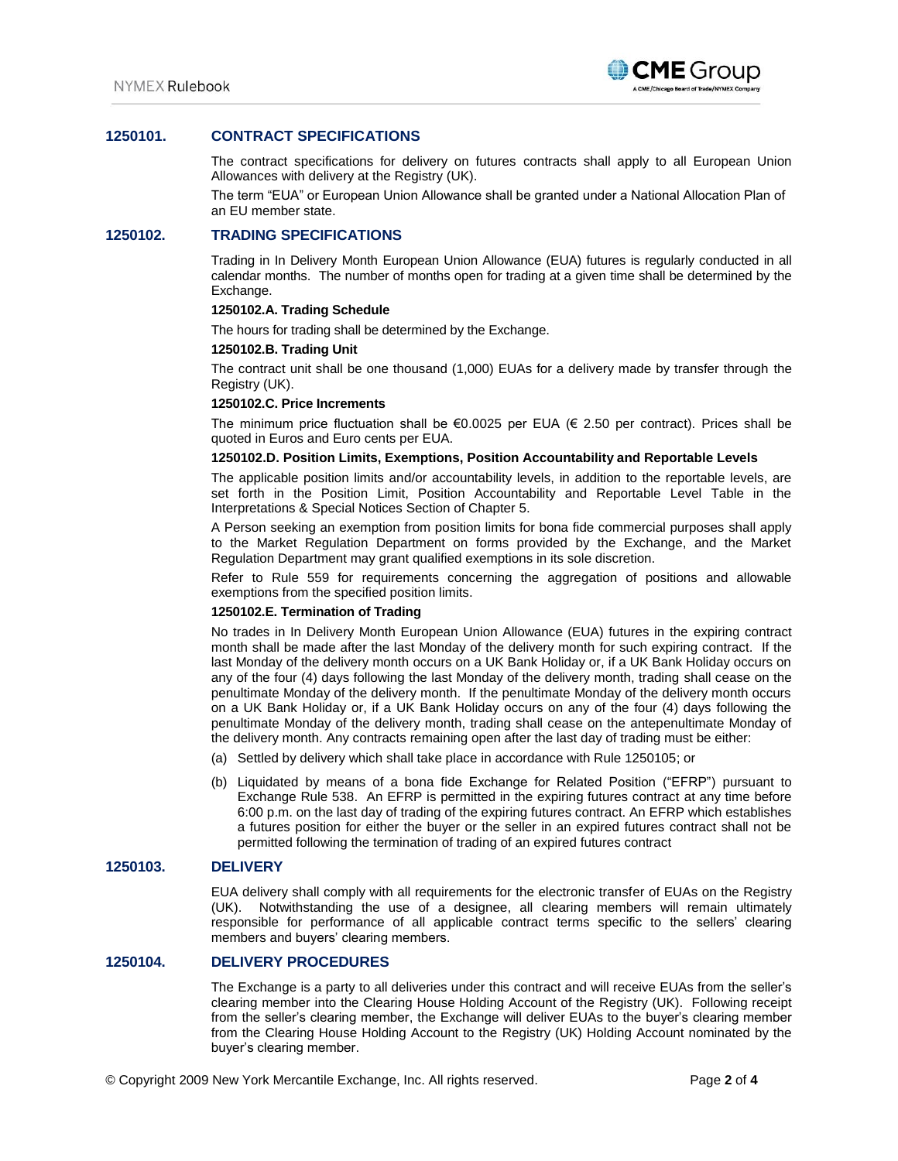

# **1250101. CONTRACT SPECIFICATIONS**

The contract specifications for delivery on futures contracts shall apply to all European Union Allowances with delivery at the Registry (UK).

The term "EUA" or European Union Allowance shall be granted under a National Allocation Plan of an EU member state.

## **1250102. TRADING SPECIFICATIONS**

Trading in In Delivery Month European Union Allowance (EUA) futures is regularly conducted in all calendar months. The number of months open for trading at a given time shall be determined by the Exchange.

### **1250102.A. Trading Schedule**

The hours for trading shall be determined by the Exchange.

### **1250102.B. Trading Unit**

The contract unit shall be one thousand (1,000) EUAs for a delivery made by transfer through the Registry (UK).

### **1250102.C. Price Increments**

The minimum price fluctuation shall be €0.0025 per EUA (€ 2.50 per contract). Prices shall be quoted in Euros and Euro cents per EUA.

### **1250102.D. Position Limits, Exemptions, Position Accountability and Reportable Levels**

The applicable position limits and/or accountability levels, in addition to the reportable levels, are set forth in the Position Limit, Position Accountability and Reportable Level Table in the Interpretations & Special Notices Section of Chapter 5.

A Person seeking an exemption from position limits for bona fide commercial purposes shall apply to the Market Regulation Department on forms provided by the Exchange, and the Market Regulation Department may grant qualified exemptions in its sole discretion.

Refer to Rule 559 for requirements concerning the aggregation of positions and allowable exemptions from the specified position limits.

### **1250102.E. Termination of Trading**

No trades in In Delivery Month European Union Allowance (EUA) futures in the expiring contract month shall be made after the last Monday of the delivery month for such expiring contract. If the last Monday of the delivery month occurs on a UK Bank Holiday or, if a UK Bank Holiday occurs on any of the four (4) days following the last Monday of the delivery month, trading shall cease on the penultimate Monday of the delivery month. If the penultimate Monday of the delivery month occurs on a UK Bank Holiday or, if a UK Bank Holiday occurs on any of the four (4) days following the penultimate Monday of the delivery month, trading shall cease on the antepenultimate Monday of the delivery month. Any contracts remaining open after the last day of trading must be either:

- (a) Settled by delivery which shall take place in accordance with Rule 1250105; or
- (b) Liquidated by means of a bona fide Exchange for Related Position ("EFRP") pursuant to Exchange Rule 538. An EFRP is permitted in the expiring futures contract at any time before 6:00 p.m. on the last day of trading of the expiring futures contract. An EFRP which establishes a futures position for either the buyer or the seller in an expired futures contract shall not be permitted following the termination of trading of an expired futures contract

## **1250103. DELIVERY**

EUA delivery shall comply with all requirements for the electronic transfer of EUAs on the Registry (UK). Notwithstanding the use of a designee, all clearing members will remain ultimately responsible for performance of all applicable contract terms specific to the sellers' clearing members and buyers' clearing members.

# **1250104. DELIVERY PROCEDURES**

The Exchange is a party to all deliveries under this contract and will receive EUAs from the seller's clearing member into the Clearing House Holding Account of the Registry (UK). Following receipt from the seller's clearing member, the Exchange will deliver EUAs to the buyer's clearing member from the Clearing House Holding Account to the Registry (UK) Holding Account nominated by the buyer's clearing member.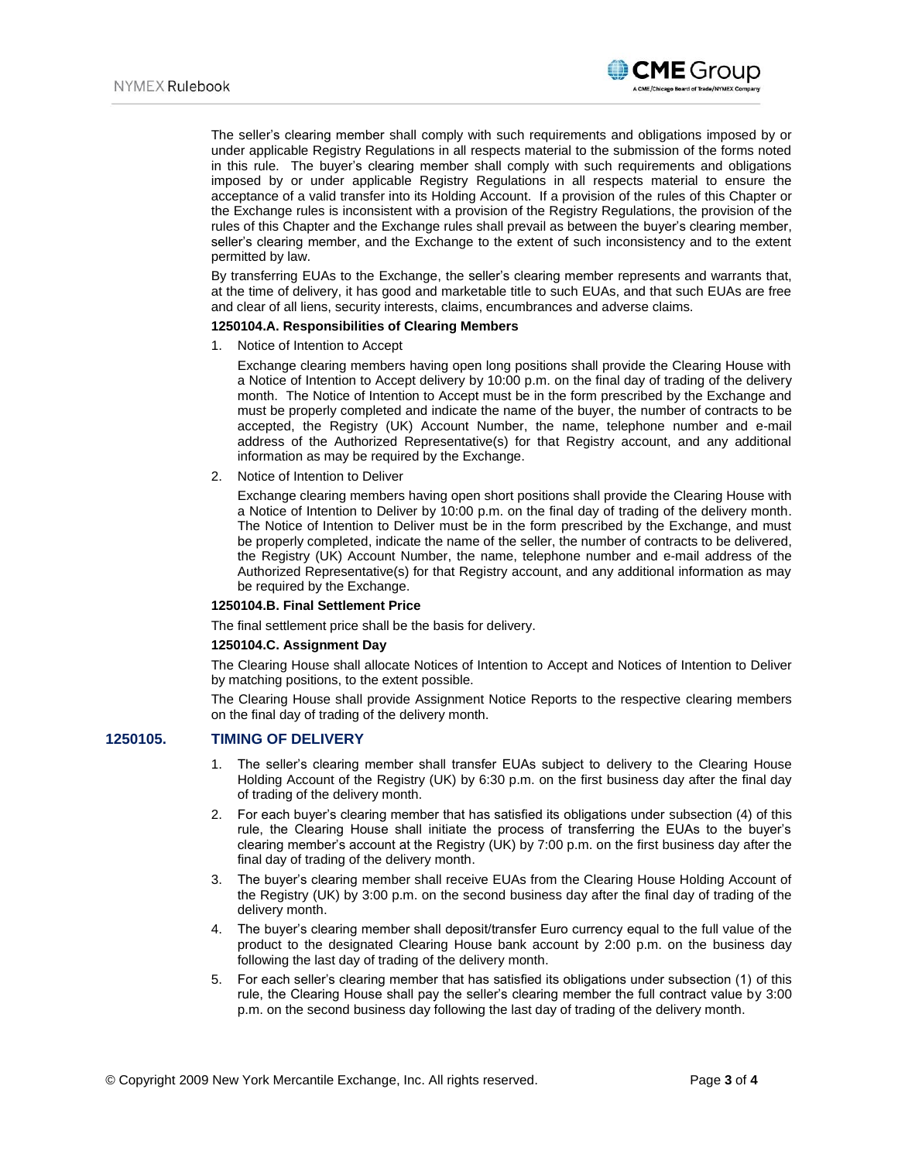

The seller's clearing member shall comply with such requirements and obligations imposed by or under applicable Registry Regulations in all respects material to the submission of the forms noted in this rule. The buyer's clearing member shall comply with such requirements and obligations imposed by or under applicable Registry Regulations in all respects material to ensure the acceptance of a valid transfer into its Holding Account. If a provision of the rules of this Chapter or the Exchange rules is inconsistent with a provision of the Registry Regulations, the provision of the rules of this Chapter and the Exchange rules shall prevail as between the buyer's clearing member, seller's clearing member, and the Exchange to the extent of such inconsistency and to the extent permitted by law.

By transferring EUAs to the Exchange, the seller's clearing member represents and warrants that, at the time of delivery, it has good and marketable title to such EUAs, and that such EUAs are free and clear of all liens, security interests, claims, encumbrances and adverse claims.

#### **1250104.A. Responsibilities of Clearing Members**

1. Notice of Intention to Accept

Exchange clearing members having open long positions shall provide the Clearing House with a Notice of Intention to Accept delivery by 10:00 p.m. on the final day of trading of the delivery month. The Notice of Intention to Accept must be in the form prescribed by the Exchange and must be properly completed and indicate the name of the buyer, the number of contracts to be accepted, the Registry (UK) Account Number, the name, telephone number and e-mail address of the Authorized Representative(s) for that Registry account, and any additional information as may be required by the Exchange.

2. Notice of Intention to Deliver

Exchange clearing members having open short positions shall provide the Clearing House with a Notice of Intention to Deliver by 10:00 p.m. on the final day of trading of the delivery month. The Notice of Intention to Deliver must be in the form prescribed by the Exchange, and must be properly completed, indicate the name of the seller, the number of contracts to be delivered, the Registry (UK) Account Number, the name, telephone number and e-mail address of the Authorized Representative(s) for that Registry account, and any additional information as may be required by the Exchange.

# **1250104.B. Final Settlement Price**

The final settlement price shall be the basis for delivery.

#### **1250104.C. Assignment Day**

The Clearing House shall allocate Notices of Intention to Accept and Notices of Intention to Deliver by matching positions, to the extent possible.

The Clearing House shall provide Assignment Notice Reports to the respective clearing members on the final day of trading of the delivery month.

### **1250105. TIMING OF DELIVERY**

- 1. The seller's clearing member shall transfer EUAs subject to delivery to the Clearing House Holding Account of the Registry (UK) by 6:30 p.m. on the first business day after the final day of trading of the delivery month.
- 2. For each buyer's clearing member that has satisfied its obligations under subsection (4) of this rule, the Clearing House shall initiate the process of transferring the EUAs to the buyer's clearing member's account at the Registry (UK) by 7:00 p.m. on the first business day after the final day of trading of the delivery month.
- 3. The buyer's clearing member shall receive EUAs from the Clearing House Holding Account of the Registry (UK) by 3:00 p.m. on the second business day after the final day of trading of the delivery month.
- 4. The buyer's clearing member shall deposit/transfer Euro currency equal to the full value of the product to the designated Clearing House bank account by 2:00 p.m. on the business day following the last day of trading of the delivery month.
- 5. For each seller's clearing member that has satisfied its obligations under subsection (1) of this rule, the Clearing House shall pay the seller's clearing member the full contract value by 3:00 p.m. on the second business day following the last day of trading of the delivery month.